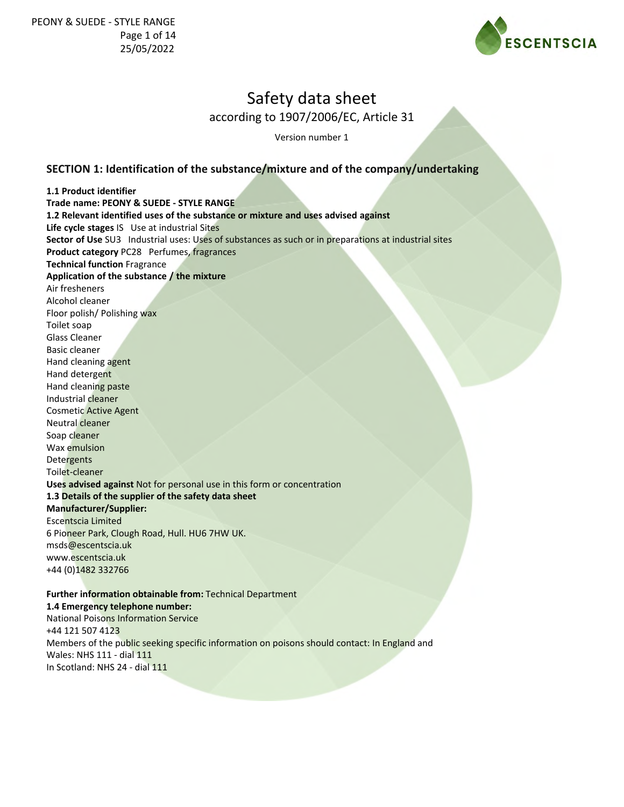

according to 1907/2006/EC, Article 31

Version number 1

## **SECTION 1: Identification of the substance/mixture and of the company/undertaking**

**1.1 Product identifier Trade name: PEONY & SUEDE - STYLE RANGE 1.2 Relevant identified uses of the substance or mixture and uses advised against Life cycle stages** IS Use at industrial Sites **Sector of Use** SU3 Industrial uses: Uses of substances as such or in preparations at industrial sites **Product category** PC28 Perfumes, fragrances **Technical function** Fragrance **Application of the substance / the mixture** Air fresheners Alcohol cleaner Floor polish/ Polishing wax Toilet soap Glass Cleaner Basic cleaner Hand cleaning agent Hand detergent Hand cleaning paste Industrial cleaner Cosmetic Active Agent Neutral cleaner Soap cleaner Wax emulsion **Detergents** Toilet-cleaner **Uses advised against** Not for personal use in this form or concentration **1.3 Details of the supplier of the safety data sheet Manufacturer/Supplier:** Escentscia Limited 6 Pioneer Park, Clough Road, Hull. HU6 7HW UK. msds@escentscia.uk www.escentscia.uk +44 (0)1482 332766 **Further information obtainable from:** Technical Department **1.4 Emergency telephone number:** National Poisons Information Service +44 121 507 4123

Members of the public seeking specific information on poisons should contact: In England and Wales: NHS 111 - dial 111

In Scotland: NHS 24 - dial 111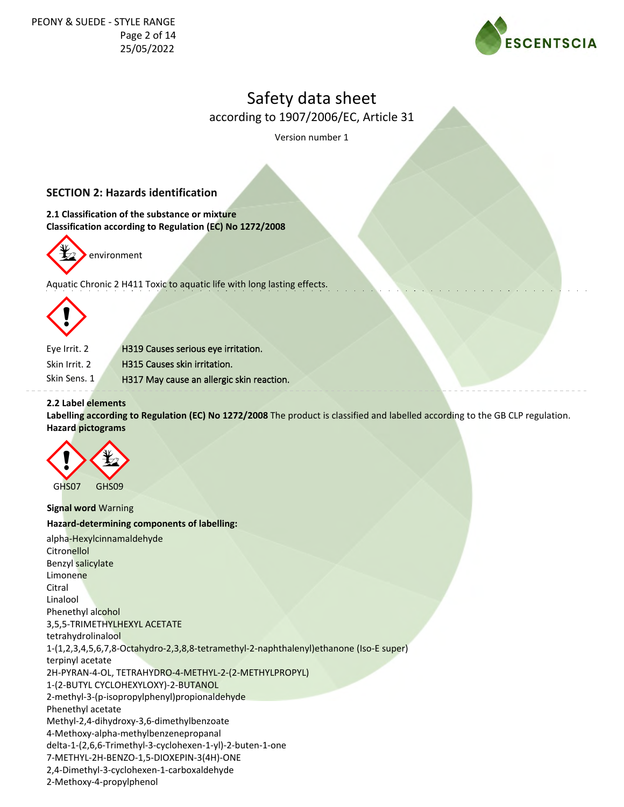

according to 1907/2006/EC, Article 31

Version number 1

## **SECTION 2: Hazards identification**

**2.1 Classification of the substance or mixture Classification according to Regulation (EC) No 1272/2008**



Aquatic Chronic 2 H411 Toxic to aquatic life with long lasting effects.



Eye Irrit. 2 Skin Sens. 1 H319 Causes serious eye irritation. H315 Causes skin irritation. H317 May cause an allergic skin reaction. Skin Irrit. 2

#### **2.2 Label elements**

**Labelling according to Regulation (EC) No 1272/2008** The product is classified and labelled according to the GB CLP regulation. **Hazard pictograms**



**Signal word** Warning **Hazard-determining components of labelling:** alpha-Hexylcinnamaldehyde **Citronellol** Benzyl salicylate **Limonene** Citral Linalool Phenethyl alcohol 3,5,5-TRIMETHYLHEXYL ACETATE tetrahydrolinalool 1-(1,2,3,4,5,6,7,8-Octahydro-2,3,8,8-tetramethyl-2-naphthalenyl)ethanone (Iso-E super) terpinyl acetate 2H-PYRAN-4-OL, TETRAHYDRO-4-METHYL-2-(2-METHYLPROPYL) 1-(2-BUTYL CYCLOHEXYLOXY)-2-BUTANOL 2-methyl-3-(p-isopropylphenyl)propionaldehyde Phenethyl acetate Methyl-2,4-dihydroxy-3,6-dimethylbenzoate 4-Methoxy-alpha-methylbenzenepropanal delta-1-(2,6,6-Trimethyl-3-cyclohexen-1-yl)-2-buten-1-one 7-METHYL-2H-BENZO-1,5-DIOXEPIN-3(4H)-ONE 2,4-Dimethyl-3-cyclohexen-1-carboxaldehyde 2-Methoxy-4-propylphenol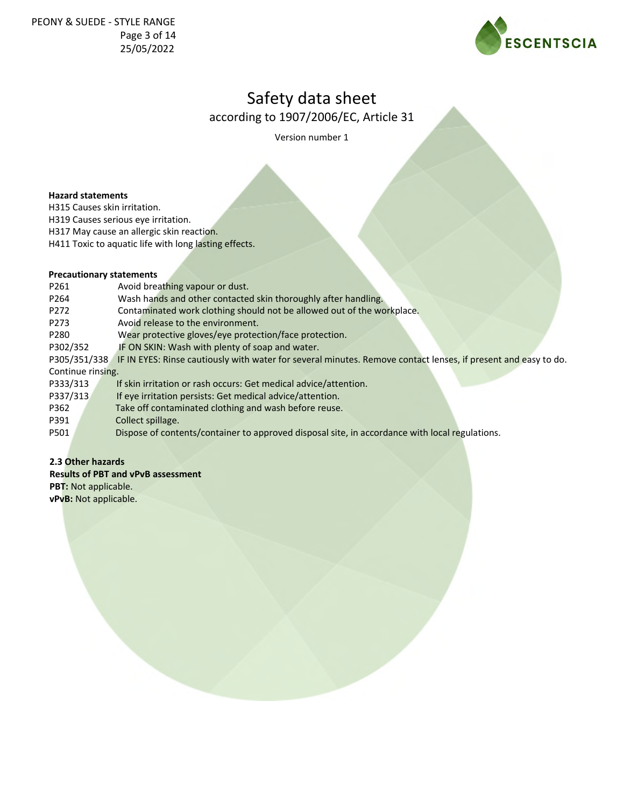

according to 1907/2006/EC, Article 31

Version number 1

#### **Hazard statements**

H315 Causes skin irritation.

H319 Causes serious eye irritation.

H317 May cause an allergic skin reaction.

H411 Toxic to aquatic life with long lasting effects.

## **Precautionary statements**

| P261              |  | Avoid breathing vapour or dust.                                                                                |
|-------------------|--|----------------------------------------------------------------------------------------------------------------|
| P264              |  | Wash hands and other contacted skin thoroughly after handling.                                                 |
| P272              |  | Contaminated work clothing should not be allowed out of the workplace.                                         |
| P <sub>273</sub>  |  | Avoid release to the environment.                                                                              |
| P280              |  | Wear protective gloves/eye protection/face protection.                                                         |
| P302/352          |  | IF ON SKIN: Wash with plenty of soap and water.                                                                |
| P305/351/338      |  | IF IN EYES: Rinse cautiously with water for several minutes. Remove contact lenses, if present and easy to do. |
| Continue rinsing. |  |                                                                                                                |
| P333/313          |  | If skin irritation or rash occurs: Get medical advice/attention.                                               |
| P337/313          |  | If eye irritation persists: Get medical advice/attention.                                                      |
| P362              |  | Take off contaminated clothing and wash before reuse.                                                          |
| P391              |  | Collect spillage.                                                                                              |
| P501              |  | Dispose of contents/container to approved disposal site, in accordance with local regulations.                 |

## **2.3 Other hazards**

**Results of PBT and vPvB assessment**

**PBT:** Not applicable.

**vPvB:** Not applicable.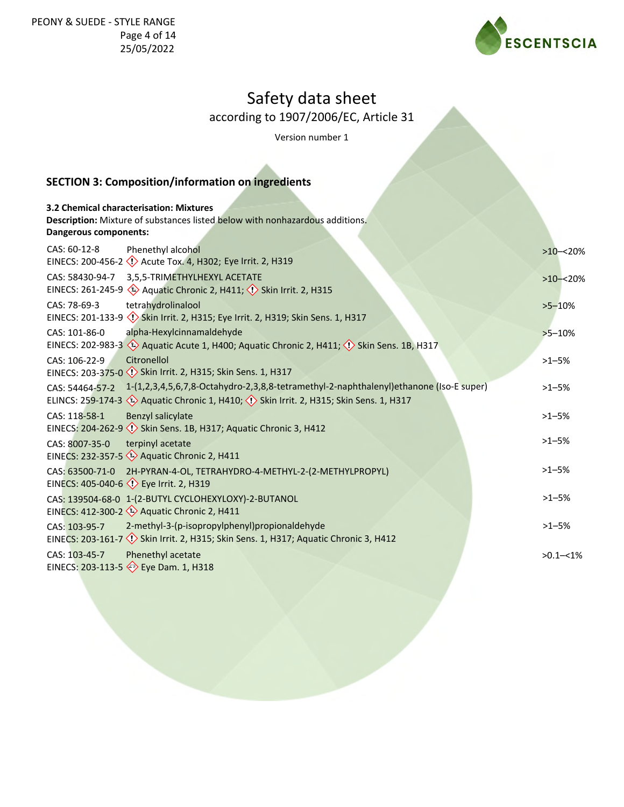

according to 1907/2006/EC, Article 31

Version number 1

## **SECTION 3: Composition/information on ingredients**

|                       | 3.2 Chemical characterisation: Mixtures                                                                                |              |
|-----------------------|------------------------------------------------------------------------------------------------------------------------|--------------|
|                       | Description: Mixture of substances listed below with nonhazardous additions.                                           |              |
| Dangerous components: |                                                                                                                        |              |
| CAS: 60-12-8          | Phenethyl alcohol                                                                                                      | $>10 - 20%$  |
|                       | EINECS: 200-456-2 <>> Acute Tox. 4, H302; Eye Irrit. 2, H319                                                           |              |
| CAS: 58430-94-7       | 3,5,5-TRIMETHYLHEXYL ACETATE                                                                                           | $>10 - 20%$  |
|                       | EINECS: 261-245-9 $\leftrightarrow$ Aquatic Chronic 2, H411; $\leftrightarrow$ Skin Irrit. 2, H315                     |              |
| CAS: 78-69-3          | tetrahydrolinalool                                                                                                     | $>5 - 10%$   |
|                       | EINECS: 201-133-9 Skin Irrit. 2, H315; Eye Irrit. 2, H319; Skin Sens. 1, H317                                          |              |
| CAS: 101-86-0         | alpha-Hexylcinnamaldehyde                                                                                              | $>5 - 10%$   |
|                       | EINECS: 202-983-3 $\circledast$ Aquatic Acute 1, H400; Aquatic Chronic 2, H411; $\circledast$ Skin Sens. 1B, H317      |              |
| CAS: 106-22-9         | Citronellol                                                                                                            | $>1 - 5%$    |
|                       | EINECS: 203-375-0 <>>> Skin Irrit. 2, H315; Skin Sens. 1, H317                                                         |              |
| CAS: 54464-57-2       | 1-(1,2,3,4,5,6,7,8-Octahydro-2,3,8,8-tetramethyl-2-naphthalenyl)ethanone (Iso-E super)                                 | $>1 - 5%$    |
|                       | ELINCS: 259-174-3 $\leftrightarrow$ Aquatic Chronic 1, H410; $\leftrightarrow$ Skin Irrit. 2, H315; Skin Sens. 1, H317 |              |
| CAS: 118-58-1         | <b>Benzyl salicylate</b>                                                                                               | $>1 - 5%$    |
|                       | EINECS: 204-262-9 <<<> > Skin Sens. 1B, H317; Aquatic Chronic 3, H412                                                  | $>1 - 5%$    |
| CAS: 8007-35-0        | terpinyl acetate<br>EINECS: 232-357-5 <>>Aquatic Chronic 2, H411                                                       |              |
|                       |                                                                                                                        |              |
| CAS: 63500-71-0       | 2H-PYRAN-4-OL, TETRAHYDRO-4-METHYL-2-(2-METHYLPROPYL)<br>EINECS: 405-040-6 <>>> <>> Eye Irrit. 2, H319                 | $>1 - 5%$    |
|                       |                                                                                                                        | $>1 - 5%$    |
|                       | CAS: 139504-68-0 1-(2-BUTYL CYCLOHEXYLOXY)-2-BUTANOL<br>EINECS: 412-300-2 2 Aquatic Chronic 2, H411                    |              |
| CAS: 103-95-7         | 2-methyl-3-(p-isopropylphenyl)propionaldehyde                                                                          | $>1 - 5%$    |
|                       | EINECS: 203-161-7 <<!> Skin Irrit. 2, H315; Skin Sens. 1, H317; Aquatic Chronic 3, H412                                |              |
| CAS: 103-45-7         | Phenethyl acetate                                                                                                      | $>0.1 - 1\%$ |
|                       | EINECS: 203-113-5 > Eye Dam. 1, H318                                                                                   |              |
|                       |                                                                                                                        |              |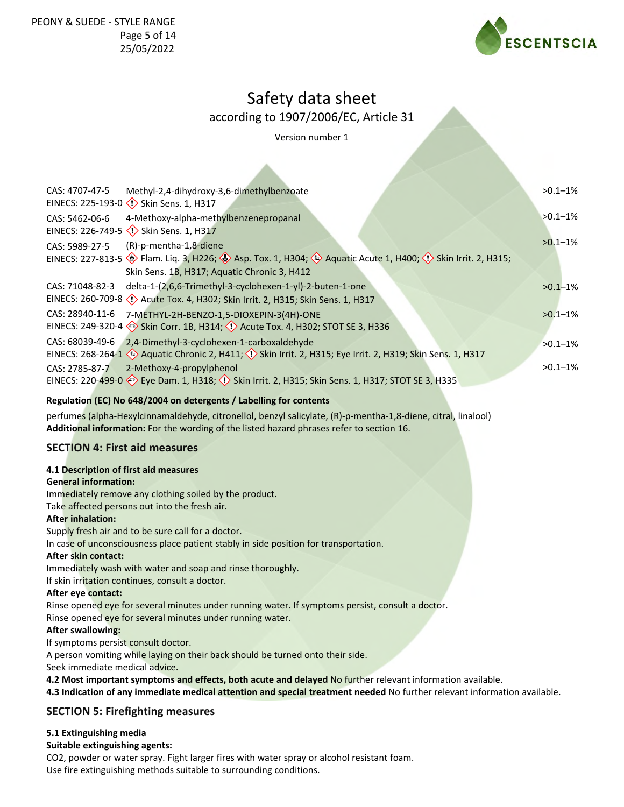

## according to 1907/2006/EC, Article 31

Version number 1

| CAS: 4707-47-5  | Methyl-2,4-dihydroxy-3,6-dimethylbenzoate                                                                                                                            | $>0.1 - 1\%$ |
|-----------------|----------------------------------------------------------------------------------------------------------------------------------------------------------------------|--------------|
|                 |                                                                                                                                                                      |              |
| CAS: 5462-06-6  | 4-Methoxy-alpha-methylbenzenepropanal<br>EINECS: 226-749-5 <>>> Skin Sens. 1, H317                                                                                   | $>0.1 - 1\%$ |
| CAS: 5989-27-5  | (R)-p-mentha-1,8-diene                                                                                                                                               | $>0.1-1\%$   |
|                 | EINECS: 227-813-5 (c) Flam. Liq. 3, H226; (c) Asp. Tox. 1, H304; (c) Aquatic Acute 1, H400; (c) Skin Irrit. 2, H315;<br>Skin Sens. 1B, H317; Aquatic Chronic 3, H412 |              |
| CAS: 71048-82-3 | delta-1-(2,6,6-Trimethyl-3-cyclohexen-1-yl)-2-buten-1-one                                                                                                            | $>0.1 - 1\%$ |
|                 | EINECS: 260-709-8 << $\langle$ Acute Tox. 4, H302; Skin Irrit. 2, H315; Skin Sens. 1, H317                                                                           |              |
| CAS: 28940-11-6 | 7-METHYL-2H-BENZO-1,5-DIOXEPIN-3(4H)-ONE                                                                                                                             | $>0.1 - 1\%$ |
|                 | EINECS: 249-320-4 Skin Corr. 1B, H314; $\Diamond$ Acute Tox. 4, H302; STOT SE 3, H336                                                                                |              |
| CAS: 68039-49-6 | 2,4-Dimethyl-3-cyclohexen-1-carboxaldehyde                                                                                                                           | $>0.1 - 1\%$ |
|                 | EINECS: 268-264-1 $\leftrightarrow$ Aquatic Chronic 2, H411; $\leftrightarrow$ Skin Irrit. 2, H315; Eye Irrit. 2, H319; Skin Sens. 1, H317                           |              |
| CAS: 2785-87-7  | 2-Methoxy-4-propylphenol                                                                                                                                             | $>0.1 - 1\%$ |
|                 | EINECS: 220-499-0 $\diamondsuit$ Eye Dam. 1, H318; $\diamondsuit$ Skin Irrit. 2, H315; Skin Sens. 1, H317; STOT SE 3, H335                                           |              |
|                 |                                                                                                                                                                      |              |

## **Regulation (EC) No 648/2004 on detergents / Labelling for contents**

perfumes (alpha-Hexylcinnamaldehyde, citronellol, benzyl salicylate, (R)-p-mentha-1,8-diene, citral, linalool) **Additional information:** For the wording of the listed hazard phrases refer to section 16.

## **SECTION 4: First aid measures**

#### **4.1 Description of first aid measures**

**General information:**

Immediately remove any clothing soiled by the product.

Take affected persons out into the fresh air.

#### **After inhalation:**

Supply fresh air and to be sure call for a doctor.

In case of unconsciousness place patient stably in side position for transportation.

#### **After skin contact:**

Immediately wash with water and soap and rinse thoroughly.

If skin irritation continues, consult a doctor.

#### **After eye contact:**

Rinse opened eye for several minutes under running water. If symptoms persist, consult a doctor.

Rinse opened eye for several minutes under running water.

#### **After swallowing:**

If symptoms persist consult doctor.

A person vomiting while laying on their back should be turned onto their side.

Seek immediate medical advice.

**4.2 Most important symptoms and effects, both acute and delayed** No further relevant information available.

**4.3 Indication of any immediate medical attention and special treatment needed** No further relevant information available.

## **SECTION 5: Firefighting measures**

#### **5.1 Extinguishing media**

#### **Suitable extinguishing agents:**

CO2, powder or water spray. Fight larger fires with water spray or alcohol resistant foam.

Use fire extinguishing methods suitable to surrounding conditions.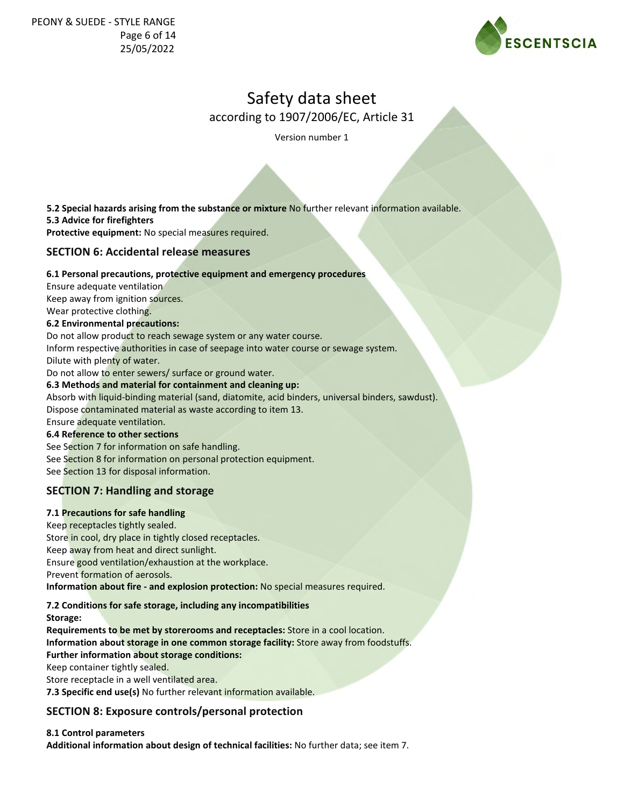

according to 1907/2006/EC, Article 31

Version number 1

**5.3 Advice for firefighters Protective equipment:** No special measures required. **5.2 Special hazards arising from the substance or mixture** No further relevant information available.

## **SECTION 6: Accidental release measures**

### **6.1 Personal precautions, protective equipment and emergency procedures**

Ensure adequate ventilation Keep away from ignition sources.

Wear protective clothing.

## **6.2 Environmental precautions:**

Do not allow product to reach sewage system or any water course.

Inform respective authorities in case of seepage into water course or sewage system.

Dilute with plenty of water.

Do not allow to enter sewers/ surface or ground water.

#### **6.3 Methods and material for containment and cleaning up:**

Absorb with liquid-binding material (sand, diatomite, acid binders, universal binders, sawdust).

Dispose contaminated material as waste according to item 13.

Ensure adequate ventilation.

## **6.4 Reference to other sections**

See Section 7 for information on safe handling. See Section 8 for information on personal protection equipment. See Section 13 for disposal information.

## **SECTION 7: Handling and storage**

#### **7.1 Precautions for safe handling**

Keep receptacles tightly sealed. Store in cool, dry place in tightly closed receptacles. Keep away from heat and direct sunlight. Ensure good ventilation/exhaustion at the workplace. Prevent formation of aerosols. **Information about fire - and explosion protection:** No special measures required.

## **7.2 Conditions for safe storage, including any incompatibilities**

**Storage:**

**Requirements to be met by storerooms and receptacles:** Store in a cool location. **Information about storage in one common storage facility:** Store away from foodstuffs. **Further information about storage conditions:** Keep container tightly sealed.

Store receptacle in a well ventilated area.

**7.3 Specific end use(s)** No further relevant information available.

## **SECTION 8: Exposure controls/personal protection**

#### **8.1 Control parameters**

**Additional information about design of technical facilities:** No further data; see item 7.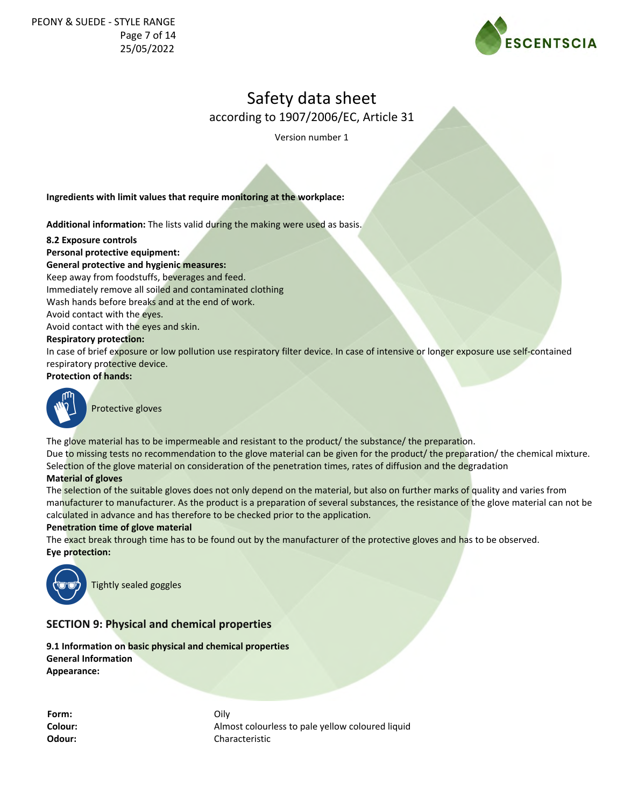

according to 1907/2006/EC, Article 31

Version number 1

**Ingredients with limit values that require monitoring at the workplace:**

**Additional information:** The lists valid during the making were used as basis.

**8.2 Exposure controls**

**Personal protective equipment: General protective and hygienic measures:** Keep away from foodstuffs, beverages and feed. Immediately remove all soiled and contaminated clothing Wash hands before breaks and at the end of work. Avoid contact with the eyes. Avoid contact with the eyes and skin. **Respiratory protection:** In case of brief exposure or low pollution use respiratory filter device. In case of intensive or longer exposure use self-contained respiratory protective device.

**Protection of hands:**



Protective gloves

The glove material has to be impermeable and resistant to the product/ the substance/ the preparation. Due to missing tests no recommendation to the glove material can be given for the product/ the preparation/ the chemical mixture. Selection of the glove material on consideration of the penetration times, rates of diffusion and the degradation

#### **Material of gloves**

The selection of the suitable gloves does not only depend on the material, but also on further marks of quality and varies from manufacturer to manufacturer. As the product is a preparation of several substances, the resistance of the glove material can not be calculated in advance and has therefore to be checked prior to the application.

#### **Penetration time of glove material**

The exact break through time has to be found out by the manufacturer of the protective gloves and has to be observed. **Eye protection:**



Tightly sealed goggles

## **SECTION 9: Physical and chemical properties**

**9.1 Information on basic physical and chemical properties General Information Appearance:**

**Form:** Oily

**Colour:** Almost colourless to pale yellow coloured liquid **Odour:** Characteristic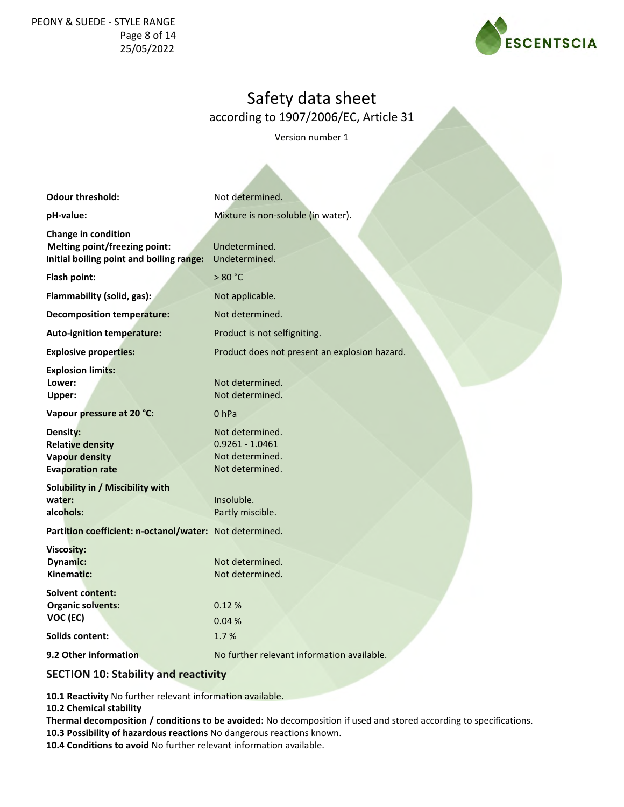## PEONY & SUEDE - STYLE RANGE Page 8 of 14 25/05/2022



# Safety data sheet

according to 1907/2006/EC, Article 31

Version number 1

| <b>Odour threshold:</b>                                                                                        | Not determined.                                                            |
|----------------------------------------------------------------------------------------------------------------|----------------------------------------------------------------------------|
| pH-value:                                                                                                      | Mixture is non-soluble (in water).                                         |
| <b>Change in condition</b><br><b>Melting point/freezing point:</b><br>Initial boiling point and boiling range: | Undetermined.<br>Undetermined.                                             |
| Flash point:                                                                                                   | > 80 °C                                                                    |
| Flammability (solid, gas):                                                                                     | Not applicable.                                                            |
| <b>Decomposition temperature:</b>                                                                              | Not determined.                                                            |
| <b>Auto-ignition temperature:</b>                                                                              | Product is not selfigniting.                                               |
| <b>Explosive properties:</b>                                                                                   | Product does not present an explosion hazard.                              |
| <b>Explosion limits:</b><br>Lower:<br>Upper:                                                                   | Not determined.<br>Not determined.                                         |
| Vapour pressure at 20 °C:                                                                                      | 0 <sub>hPa</sub>                                                           |
| Density:<br><b>Relative density</b><br><b>Vapour density</b><br><b>Evaporation rate</b>                        | Not determined.<br>$0.9261 - 1.0461$<br>Not determined.<br>Not determined. |
| Solubility in / Miscibility with<br>water:<br>alcohols:                                                        | Insoluble.<br>Partly miscible.                                             |
| Partition coefficient: n-octanol/water: Not determined.                                                        |                                                                            |
| Viscosity:<br><b>Dynamic:</b><br>Kinematic:                                                                    | Not determined.<br>Not determined.                                         |
| Solvent content:<br><b>Organic solvents:</b><br>VOC (EC)                                                       | 0.12%<br>0.04%                                                             |
| <b>Solids content:</b>                                                                                         | 1.7%                                                                       |
| 9.2 Other information                                                                                          | No further relevant information available.                                 |

## **SECTION 10: Stability and reactivity**

**10.1 Reactivity** No further relevant information available.

**10.2 Chemical stability**

**Thermal decomposition / conditions to be avoided:** No decomposition if used and stored according to specifications. **10.3 Possibility of hazardous reactions** No dangerous reactions known.

**10.4 Conditions to avoid** No further relevant information available.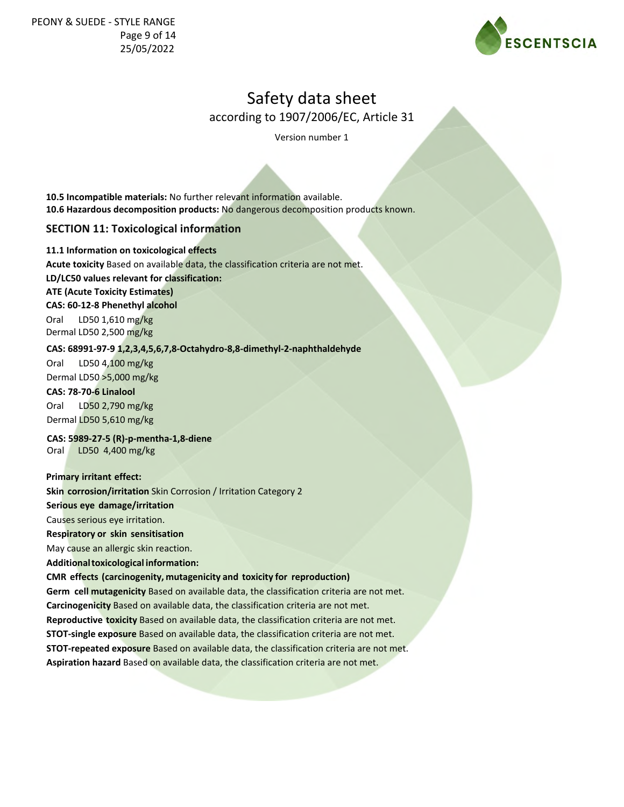

according to 1907/2006/EC, Article 31

Version number 1

**10.5 Incompatible materials:** No further relevant information available. **10.6 Hazardous decomposition products:** No dangerous decomposition products known.

## **SECTION 11: Toxicological information**

### **11.1 Information on toxicological effects**

**Acute toxicity** Based on available data, the classification criteria are not met.

**LD/LC50 values relevant for classification:**

### **ATE (Acute Toxicity Estimates)**

**CAS: 60-12-8 Phenethyl alcohol**

Oral LD50 1,610 mg/kg Dermal LD50 2,500 mg/kg

### **CAS: 68991-97-9 1,2,3,4,5,6,7,8-Octahydro-8,8-dimethyl-2-naphthaldehyde**

Oral LD50 4,100 mg/kg Dermal LD50 >5,000 mg/kg

## **CAS: 78-70-6 Linalool**

Oral LD50 2,790 mg/kg Dermal LD50 5,610 mg/kg

#### **CAS: 5989-27-5 (R)-p-mentha-1,8-diene**  Oral LD50 4,400 mg/kg

#### **Primary irritant effect:**

**Skin corrosion/irritation** Skin Corrosion / Irritation Category 2

#### **Serious eye damage/irritation**

Causes serious eye irritation.

#### **Respiratory or skin sensitisation**

May cause an allergic skin reaction.

#### **Additional toxicological information:**

## **CMR effects (carcinogenity, mutagenicity and toxicity for reproduction)**

**Germ cell mutagenicity** Based on available data, the classification criteria are not met. **Carcinogenicity** Based on available data, the classification criteria are not met. **Reproductive toxicity** Based on available data, the classification criteria are not met. **STOT-single exposure** Based on available data, the classification criteria are not met. **STOT-repeated exposure** Based on available data, the classification criteria are not met. **Aspiration hazard** Based on available data, the classification criteria are not met.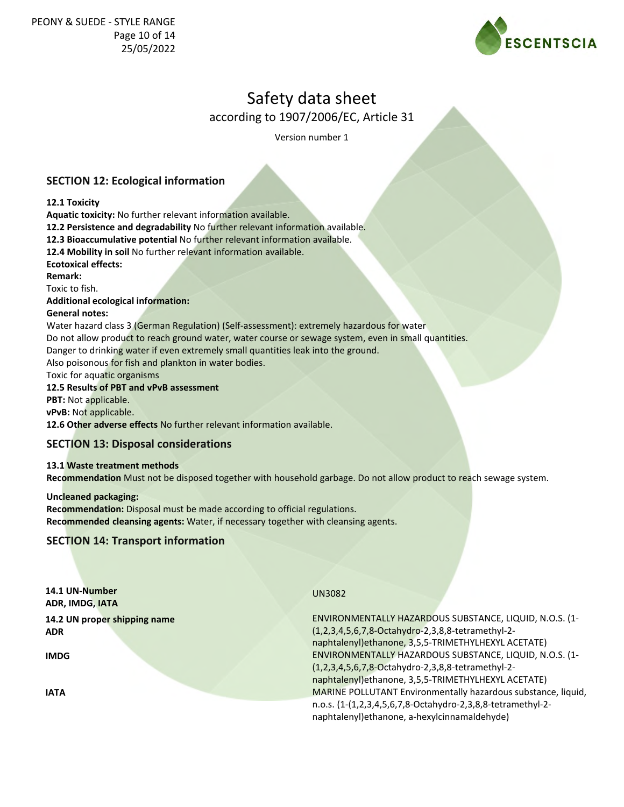

according to 1907/2006/EC, Article 31

Version number 1

## **SECTION 12: Ecological information**

### **12.1 Toxicity**

**Aquatic toxicity:** No further relevant information available.

**12.2 Persistence and degradability** No further relevant information available.

**12.3 Bioaccumulative potential** No further relevant information available.

**12.4 Mobility in soil** No further relevant information available.

**Ecotoxical effects:**

**Remark:**

Toxic to fish.

**Additional ecological information:**

### **General notes:**

Water hazard class 3 (German Regulation) (Self-assessment): extremely hazardous for water

Do not allow product to reach ground water, water course or sewage system, even in small quantities.

Danger to drinking water if even extremely small quantities leak into the ground.

Also poisonous for fish and plankton in water bodies.

Toxic for aquatic organisms

### **12.5 Results of PBT and vPvB assessment**

**PBT:** Not applicable.

**vPvB:** Not applicable.

**12.6 Other adverse effects** No further relevant information available.

## **SECTION 13: Disposal considerations**

#### **13.1 Waste treatment methods**

**Recommendation** Must not be disposed together with household garbage. Do not allow product to reach sewage system.

#### **Uncleaned packaging: Recommendation:** Disposal must be made according to official regulations. **Recommended cleansing agents:** Water, if necessary together with cleansing agents.

## **SECTION 14: Transport information**

| 14.1 UN-Number<br>ADR, IMDG, IATA | <b>UN3082</b>                                                                                                |
|-----------------------------------|--------------------------------------------------------------------------------------------------------------|
| 14.2 UN proper shipping name      | ENVIRONMENTALLY HAZARDOUS SUBSTANCE, LIQUID, N.O.S. (1-                                                      |
| <b>ADR</b>                        | (1,2,3,4,5,6,7,8-Octahydro-2,3,8,8-tetramethyl-2-                                                            |
|                                   | naphtalenyl) ethanone, 3,5,5-TRIMETHYLHEXYL ACETATE)                                                         |
| <b>IMDG</b>                       | ENVIRONMENTALLY HAZARDOUS SUBSTANCE, LIQUID, N.O.S. (1-                                                      |
|                                   | (1,2,3,4,5,6,7,8-Octahydro-2,3,8,8-tetramethyl-2-                                                            |
|                                   | naphtalenyl) ethanone, 3,5,5-TRIMETHYLHEXYL ACETATE)                                                         |
| <b>IATA</b>                       | MARINE POLLUTANT Environmentally hazardous substance, liquid,                                                |
|                                   | n.o.s. (1-(1,2,3,4,5,6,7,8-Octahydro-2,3,8,8-tetramethyl-2-<br>naphtalenyl) ethanone, a-hexylcinnamaldehyde) |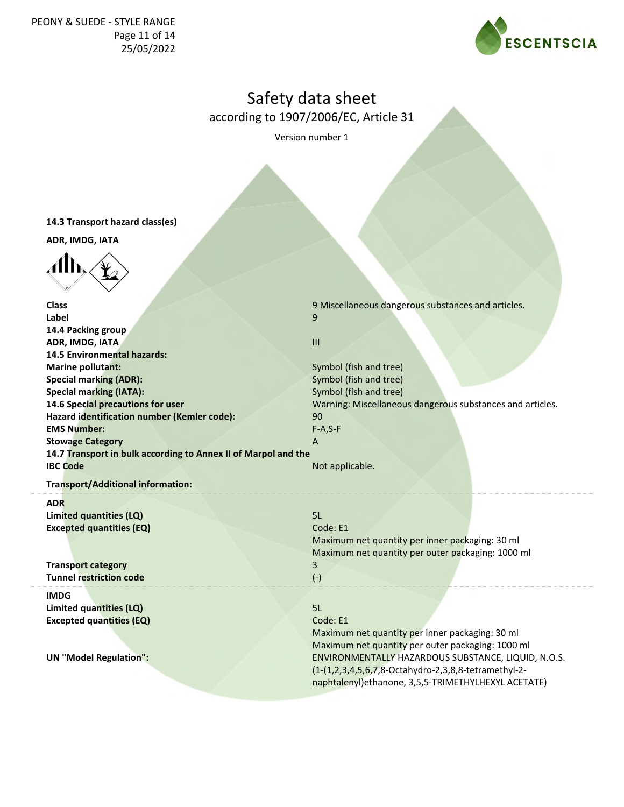

according to 1907/2006/EC, Article 31

Version number 1

**14.3 Transport hazard class(es)**

**ADR, IMDG, IATA**

 $\langle \mathbf{d} \mathbf{h} \rangle$ 

**Class Class 19 Miscellaneous dangerous substances and articles. 9 Miscellaneous dangerous substances and articles. Label** 9 **14.4 Packing group ADR, IMDG, IATA III 14.5 Environmental hazards: Marine pollutant:** Symbol (fish and tree) **Special marking (ADR):** Symbol (fish and tree) **Special marking (IATA):** Symbol (fish and tree) **14.6 Special precautions for user** Warning: Miscellaneous dangerous substances and articles. **Hazard identification number (Kemler code):** 90 **EMS Number:** F-A,S-F **Stowage Category A 14.7 Transport in bulk according to Annex II of Marpol and the IBC Code** Not applicable. **Transport/Additional information: ADR Limited quantities (LQ)** 5L **Excepted quantities (EQ)** Code: E1

**Transp<mark>ort category</mark>** 3 **Tunnel restriction code** (-)

**IMDG Limited quantities (LQ) Excepted quantities (EQ)**

**UN "Model Regulation":**

Maximum net quantity per inner packaging: 30 ml Maximum net quantity per outer packaging: 1000 ml

5L

Code: E1

Maximum net quantity per inner packaging: 30 ml Maximum net quantity per outer packaging: 1000 ml ENVIRONMENTALLY HAZARDOUS SUBSTANCE, LIQUID, N.O.S. (1-(1,2,3,4,5,6,7,8-Octahydro-2,3,8,8-tetramethyl-2 naphtalenyl)ethanone, 3,5,5-TRIMETHYLHEXYL ACETATE)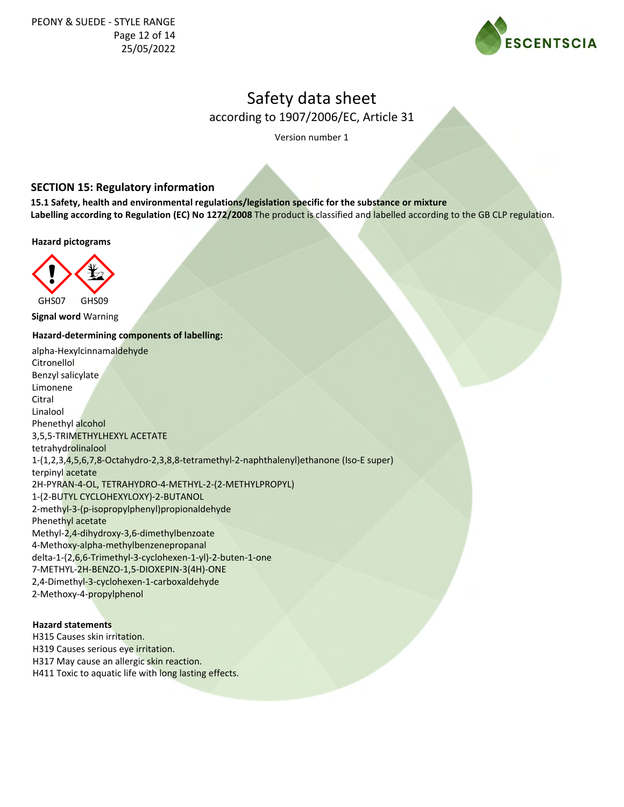

according to 1907/2006/EC, Article 31

Version number 1

## **SECTION 15: Regulatory information**

**15.1 Safety, health and environmental regulations/legislation specific for the substance or mixture Labelling according to Regulation (EC) No 1272/2008** The product is classified and labelled according to the GB CLP regulation.

**Hazard pictograms**



**Signal word** Warning

## **Hazard-determining components of labelling:**

alpha-Hexylcinnamaldehyde Citronellol Benzyl salicylate Limonene Citral Linalool Phenethyl alcohol 3,5,5-TRIMETHYLHEXYL ACETATE tetrahydrolinalool 1-(1,2,3,4,5,6,7,8-Octahydro-2,3,8,8-tetramethyl-2-naphthalenyl)ethanone (Iso-E super) terpinyl acetate 2H-PYRAN-4-OL, TETRAHYDRO-4-METHYL-2-(2-METHYLPROPYL) 1-(2-BUTYL CYCLOHEXYLOXY)-2-BUTANOL 2-methyl-3-(p-isopropylphenyl)propionaldehyde Phenethyl acetate Methyl-2,4-dihydroxy-3,6-dimethylbenzoate 4-Methoxy-alpha-methylbenzenepropanal delta-1-(2,6,6-Trimethyl-3-cyclohexen-1-yl)-2-buten-1-one 7-METHYL-2H-BENZO-1,5-DIOXEPIN-3(4H)-ONE 2,4-Dimethyl-3-cyclohexen-1-carboxaldehyde 2-Methoxy-4-propylphenol

#### **Hazard statements**

H315 Causes skin irritation. H319 Causes serious eye irritation. H317 May cause an allergic skin reaction. H411 Toxic to aquatic life with long lasting effects.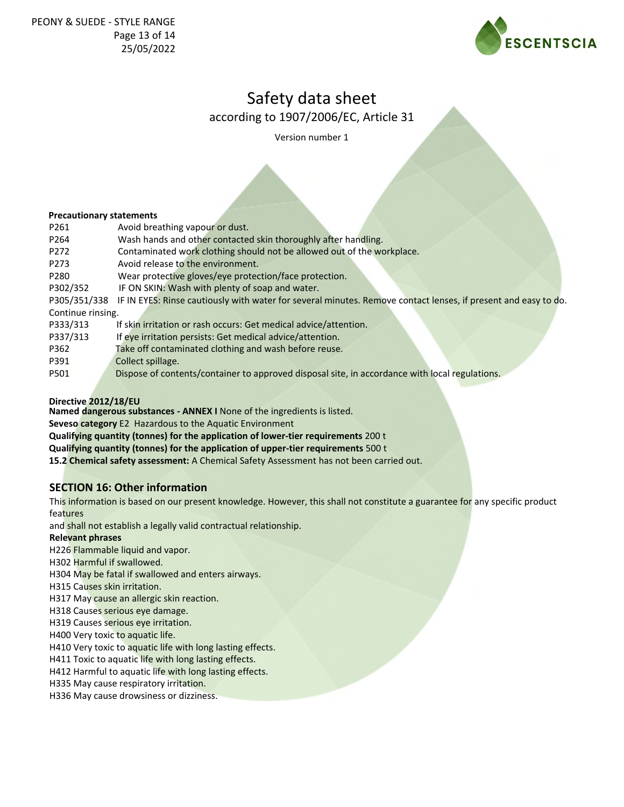

according to 1907/2006/EC, Article 31

Version number 1

#### **Precautionary statements**

| P261              | Avoid breathing vapour or dust.                                                                                |  |
|-------------------|----------------------------------------------------------------------------------------------------------------|--|
| P264              | Wash hands and other contacted skin thoroughly after handling.                                                 |  |
| P272              | Contaminated work clothing should not be allowed out of the workplace.                                         |  |
| P273              | Avoid release to the environment.                                                                              |  |
| P <sub>280</sub>  | Wear protective gloves/eye protection/face protection.                                                         |  |
| P302/352          | IF ON SKIN: Wash with plenty of soap and water.                                                                |  |
| P305/351/338      | IF IN EYES: Rinse cautiously with water for several minutes. Remove contact lenses, if present and easy to do. |  |
| Continue rinsing. |                                                                                                                |  |
| P333/313          | If skin irritation or rash occurs: Get medical advice/attention.                                               |  |
| P337/313          | If eye irritation persists: Get medical advice/attention.                                                      |  |
| P362              | Take off contaminated clothing and wash before reuse.                                                          |  |
| P391              | Collect spillage.                                                                                              |  |
| P501              | Dispose of contents/container to approved disposal site, in accordance with local regulations.                 |  |
|                   |                                                                                                                |  |

#### **Directive 2012/18/EU**

**Named dangerous substances - ANNEX I** None of the ingredients is listed.

**Seveso category** E2 Hazardous to the Aquatic Environment

**Qualifying quantity (tonnes) for the application of lower-tier requirements** 200 t

**Qualifying quantity (tonnes) for the application of upper-tier requirements** 500 t

**15.2 Chemical safety assessment:** A Chemical Safety Assessment has not been carried out.

## **SECTION 16: Other information**

This information is based on our present knowledge. However, this shall not constitute a guarantee for any specific product features

and shall not establish a legally valid contractual relationship.

#### **Relevant phrases**

H226 Flammable liquid and vapor.

H302 Harmful if swallowed.

H304 May be fatal if swallowed and enters airways.

H315 Causes skin irritation.

H317 May cause an allergic skin reaction.

H318 Causes serious eye damage.

H319 Causes serious eye irritation.

H400 Very toxic to aquatic life.

H410 Very toxic to aquatic life with long lasting effects.

H411 Toxic to aquatic life with long lasting effects.

H412 Harmful to aquatic life with long lasting effects.

H335 May cause respiratory irritation.

H336 May cause drowsiness or dizziness.